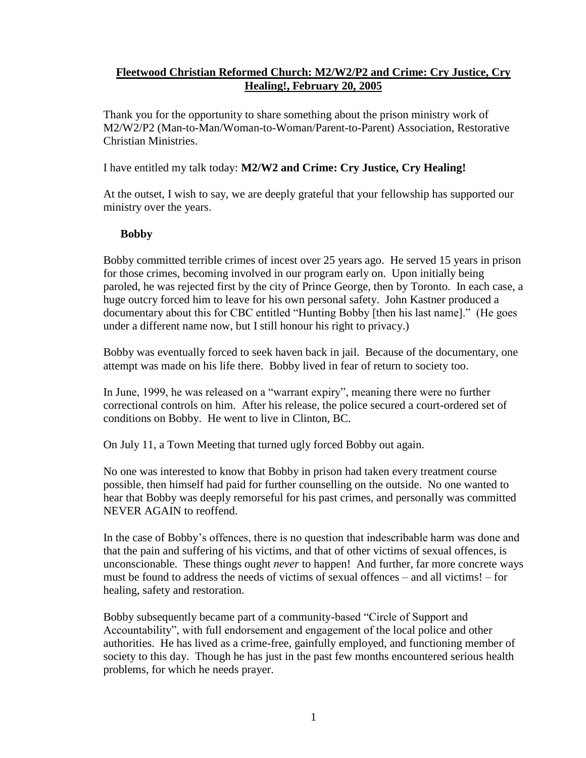# **Fleetwood Christian Reformed Church: M2/W2/P2 and Crime: Cry Justice, Cry Healing!, February 20, 2005**

Thank you for the opportunity to share something about the prison ministry work of M2/W2/P2 (Man-to-Man/Woman-to-Woman/Parent-to-Parent) Association, Restorative Christian Ministries.

## I have entitled my talk today: **M2/W2 and Crime: Cry Justice, Cry Healing!**

At the outset, I wish to say, we are deeply grateful that your fellowship has supported our ministry over the years.

#### **Bobby**

Bobby committed terrible crimes of incest over 25 years ago. He served 15 years in prison for those crimes, becoming involved in our program early on. Upon initially being paroled, he was rejected first by the city of Prince George, then by Toronto. In each case, a huge outcry forced him to leave for his own personal safety. John Kastner produced a documentary about this for CBC entitled "Hunting Bobby [then his last name]." (He goes under a different name now, but I still honour his right to privacy.)

Bobby was eventually forced to seek haven back in jail. Because of the documentary, one attempt was made on his life there. Bobby lived in fear of return to society too.

In June, 1999, he was released on a "warrant expiry", meaning there were no further correctional controls on him. After his release, the police secured a court-ordered set of conditions on Bobby. He went to live in Clinton, BC.

On July 11, a Town Meeting that turned ugly forced Bobby out again.

No one was interested to know that Bobby in prison had taken every treatment course possible, then himself had paid for further counselling on the outside. No one wanted to hear that Bobby was deeply remorseful for his past crimes, and personally was committed NEVER AGAIN to reoffend.

In the case of Bobby's offences, there is no question that indescribable harm was done and that the pain and suffering of his victims, and that of other victims of sexual offences, is unconscionable. These things ought *never* to happen! And further, far more concrete ways must be found to address the needs of victims of sexual offences – and all victims! – for healing, safety and restoration.

Bobby subsequently became part of a community-based "Circle of Support and Accountability", with full endorsement and engagement of the local police and other authorities. He has lived as a crime-free, gainfully employed, and functioning member of society to this day. Though he has just in the past few months encountered serious health problems, for which he needs prayer.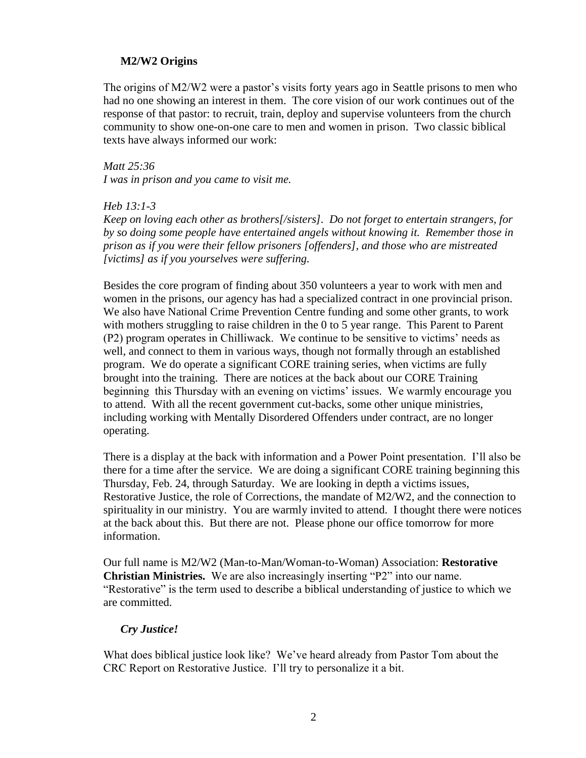### **M2/W2 Origins**

The origins of M2/W2 were a pastor's visits forty years ago in Seattle prisons to men who had no one showing an interest in them. The core vision of our work continues out of the response of that pastor: to recruit, train, deploy and supervise volunteers from the church community to show one-on-one care to men and women in prison. Two classic biblical texts have always informed our work:

*Matt 25:36 I was in prison and you came to visit me.*

*Heb 13:1-3*

*Keep on loving each other as brothers[/sisters]. Do not forget to entertain strangers, for by so doing some people have entertained angels without knowing it. Remember those in prison as if you were their fellow prisoners [offenders], and those who are mistreated [victims] as if you yourselves were suffering.* 

Besides the core program of finding about 350 volunteers a year to work with men and women in the prisons, our agency has had a specialized contract in one provincial prison. We also have National Crime Prevention Centre funding and some other grants, to work with mothers struggling to raise children in the 0 to 5 year range. This Parent to Parent (P2) program operates in Chilliwack. We continue to be sensitive to victims' needs as well, and connect to them in various ways, though not formally through an established program. We do operate a significant CORE training series, when victims are fully brought into the training. There are notices at the back about our CORE Training beginning this Thursday with an evening on victims' issues. We warmly encourage you to attend. With all the recent government cut-backs, some other unique ministries, including working with Mentally Disordered Offenders under contract, are no longer operating.

There is a display at the back with information and a Power Point presentation. I'll also be there for a time after the service. We are doing a significant CORE training beginning this Thursday, Feb. 24, through Saturday. We are looking in depth a victims issues, Restorative Justice, the role of Corrections, the mandate of M2/W2, and the connection to spirituality in our ministry. You are warmly invited to attend. I thought there were notices at the back about this. But there are not. Please phone our office tomorrow for more information.

Our full name is M2/W2 (Man-to-Man/Woman-to-Woman) Association: **Restorative Christian Ministries.** We are also increasingly inserting "P2" into our name. "Restorative" is the term used to describe a biblical understanding of justice to which we are committed.

#### *Cry Justice!*

What does biblical justice look like? We've heard already from Pastor Tom about the CRC Report on Restorative Justice. I'll try to personalize it a bit.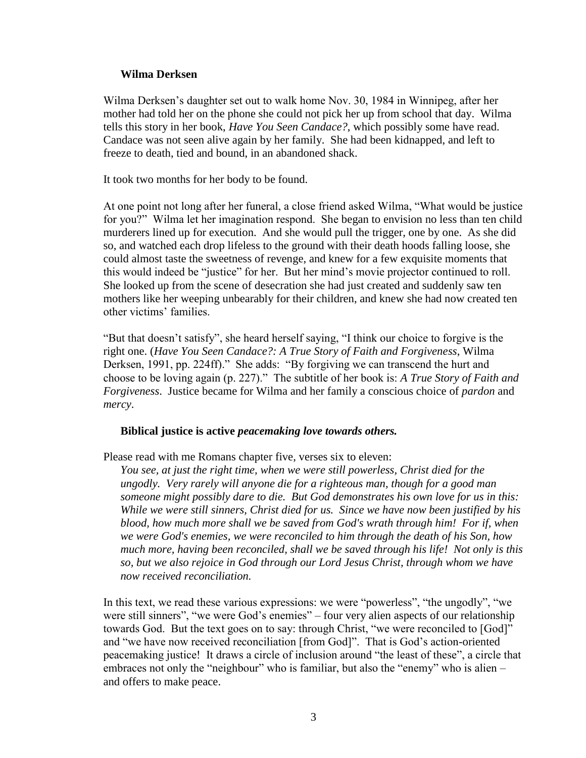#### **Wilma Derksen**

Wilma Derksen's daughter set out to walk home Nov. 30, 1984 in Winnipeg, after her mother had told her on the phone she could not pick her up from school that day. Wilma tells this story in her book, *Have You Seen Candace?*, which possibly some have read. Candace was not seen alive again by her family. She had been kidnapped, and left to freeze to death, tied and bound, in an abandoned shack.

It took two months for her body to be found.

At one point not long after her funeral, a close friend asked Wilma, "What would be justice for you?" Wilma let her imagination respond. She began to envision no less than ten child murderers lined up for execution. And she would pull the trigger, one by one. As she did so, and watched each drop lifeless to the ground with their death hoods falling loose, she could almost taste the sweetness of revenge, and knew for a few exquisite moments that this would indeed be "justice" for her. But her mind's movie projector continued to roll. She looked up from the scene of desecration she had just created and suddenly saw ten mothers like her weeping unbearably for their children, and knew she had now created ten other victims' families.

"But that doesn't satisfy", she heard herself saying, "I think our choice to forgive is the right one. (*Have You Seen Candace?: A True Story of Faith and Forgiveness*, Wilma Derksen, 1991, pp. 224ff)." She adds: "By forgiving we can transcend the hurt and choose to be loving again (p. 227)." The subtitle of her book is: *A True Story of Faith and Forgiveness*. Justice became for Wilma and her family a conscious choice of *pardon* and *mercy*.

#### **Biblical justice is active** *peacemaking love towards others.*

Please read with me Romans chapter five, verses six to eleven:

*You see, at just the right time, when we were still powerless, Christ died for the ungodly. Very rarely will anyone die for a righteous man, though for a good man someone might possibly dare to die. But God demonstrates his own love for us in this: While we were still sinners, Christ died for us. Since we have now been justified by his blood, how much more shall we be saved from God's wrath through him! For if, when we were God's enemies, we were reconciled to him through the death of his Son, how much more, having been reconciled, shall we be saved through his life! Not only is this so, but we also rejoice in God through our Lord Jesus Christ, through whom we have now received reconciliation.*

In this text, we read these various expressions: we were "powerless", "the ungodly", "we were still sinners", "we were God's enemies" – four very alien aspects of our relationship towards God. But the text goes on to say: through Christ, "we were reconciled to [God]" and "we have now received reconciliation [from God]". That is God's action-oriented peacemaking justice! It draws a circle of inclusion around "the least of these", a circle that embraces not only the "neighbour" who is familiar, but also the "enemy" who is alien – and offers to make peace.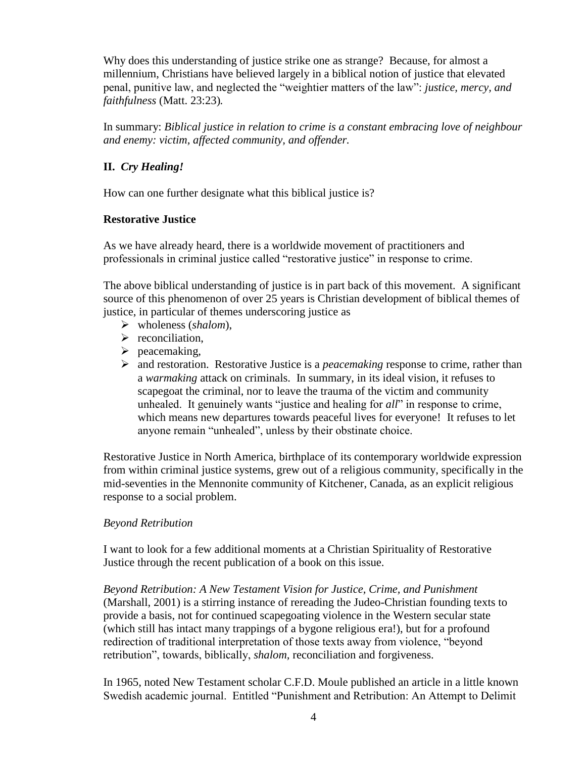Why does this understanding of justice strike one as strange? Because, for almost a millennium, Christians have believed largely in a biblical notion of justice that elevated penal, punitive law, and neglected the "weightier matters of the law": *justice, mercy, and faithfulness* (Matt. 23:23)*.*

In summary: *Biblical justice in relation to crime is a constant embracing love of neighbour and enemy: victim, affected community, and offender.*

# **II.** *Cry Healing!*

How can one further designate what this biblical justice is?

## **Restorative Justice**

As we have already heard, there is a worldwide movement of practitioners and professionals in criminal justice called "restorative justice" in response to crime.

The above biblical understanding of justice is in part back of this movement. A significant source of this phenomenon of over 25 years is Christian development of biblical themes of justice, in particular of themes underscoring justice as

- wholeness (*shalom*),
- $\triangleright$  reconciliation,
- $\triangleright$  peacemaking,
- and restoration. Restorative Justice is a *peacemaking* response to crime, rather than a *warmaking* attack on criminals. In summary, in its ideal vision, it refuses to scapegoat the criminal, nor to leave the trauma of the victim and community unhealed. It genuinely wants "justice and healing for *all*" in response to crime, which means new departures towards peaceful lives for everyone! It refuses to let anyone remain "unhealed", unless by their obstinate choice.

Restorative Justice in North America, birthplace of its contemporary worldwide expression from within criminal justice systems, grew out of a religious community, specifically in the mid-seventies in the Mennonite community of Kitchener, Canada, as an explicit religious response to a social problem.

#### *Beyond Retribution*

I want to look for a few additional moments at a Christian Spirituality of Restorative Justice through the recent publication of a book on this issue.

*Beyond Retribution: A New Testament Vision for Justice, Crime, and Punishment* (Marshall, 2001) is a stirring instance of rereading the Judeo-Christian founding texts to provide a basis, not for continued scapegoating violence in the Western secular state (which still has intact many trappings of a bygone religious era!), but for a profound redirection of traditional interpretation of those texts away from violence, "beyond retribution", towards, biblically, *shalom,* reconciliation and forgiveness.

In 1965, noted New Testament scholar C.F.D. Moule published an article in a little known Swedish academic journal. Entitled "Punishment and Retribution: An Attempt to Delimit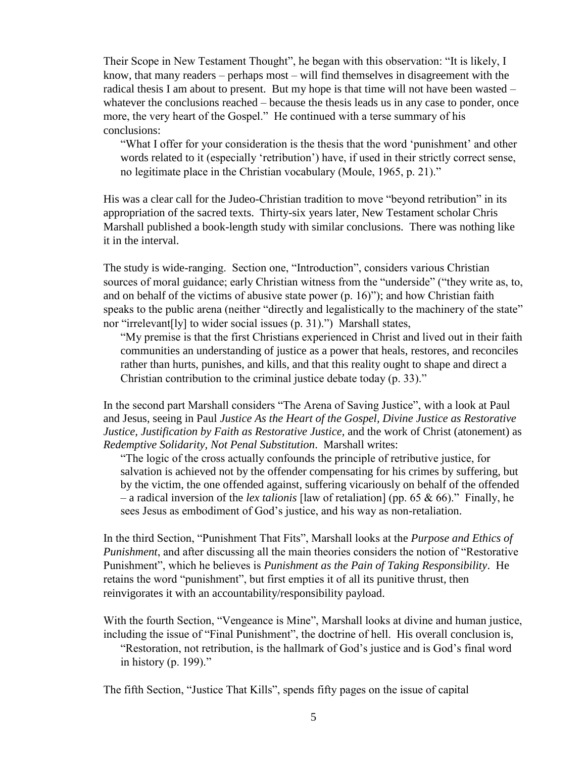Their Scope in New Testament Thought", he began with this observation: "It is likely, I know, that many readers – perhaps most – will find themselves in disagreement with the radical thesis I am about to present. But my hope is that time will not have been wasted – whatever the conclusions reached – because the thesis leads us in any case to ponder, once more, the very heart of the Gospel." He continued with a terse summary of his conclusions:

"What I offer for your consideration is the thesis that the word 'punishment' and other words related to it (especially 'retribution') have, if used in their strictly correct sense, no legitimate place in the Christian vocabulary (Moule, 1965, p. 21)."

His was a clear call for the Judeo-Christian tradition to move "beyond retribution" in its appropriation of the sacred texts. Thirty-six years later, New Testament scholar Chris Marshall published a book-length study with similar conclusions. There was nothing like it in the interval.

The study is wide-ranging. Section one, "Introduction", considers various Christian sources of moral guidance; early Christian witness from the "underside" ("they write as, to, and on behalf of the victims of abusive state power  $(p. 16)$ "); and how Christian faith speaks to the public arena (neither "directly and legalistically to the machinery of the state" nor "irrelevant[ly] to wider social issues (p. 31).") Marshall states,

"My premise is that the first Christians experienced in Christ and lived out in their faith communities an understanding of justice as a power that heals, restores, and reconciles rather than hurts, punishes, and kills, and that this reality ought to shape and direct a Christian contribution to the criminal justice debate today (p. 33)."

In the second part Marshall considers "The Arena of Saving Justice", with a look at Paul and Jesus, seeing in Paul *Justice As the Heart of the Gospel, Divine Justice as Restorative Justice, Justification by Faith as Restorative Justice,* and the work of Christ (atonement) as *Redemptive Solidarity, Not Penal Substitution*. Marshall writes:

"The logic of the cross actually confounds the principle of retributive justice, for salvation is achieved not by the offender compensating for his crimes by suffering, but by the victim, the one offended against, suffering vicariously on behalf of the offended – a radical inversion of the *lex talionis* [law of retaliation] (pp. 65 & 66)." Finally, he sees Jesus as embodiment of God's justice, and his way as non-retaliation.

In the third Section, "Punishment That Fits", Marshall looks at the *Purpose and Ethics of Punishment*, and after discussing all the main theories considers the notion of "Restorative Punishment", which he believes is *Punishment as the Pain of Taking Responsibility*. He retains the word "punishment", but first empties it of all its punitive thrust, then reinvigorates it with an accountability/responsibility payload.

With the fourth Section, "Vengeance is Mine", Marshall looks at divine and human justice, including the issue of "Final Punishment", the doctrine of hell. His overall conclusion is, "Restoration, not retribution, is the hallmark of God's justice and is God's final word in history (p. 199)."

The fifth Section, "Justice That Kills", spends fifty pages on the issue of capital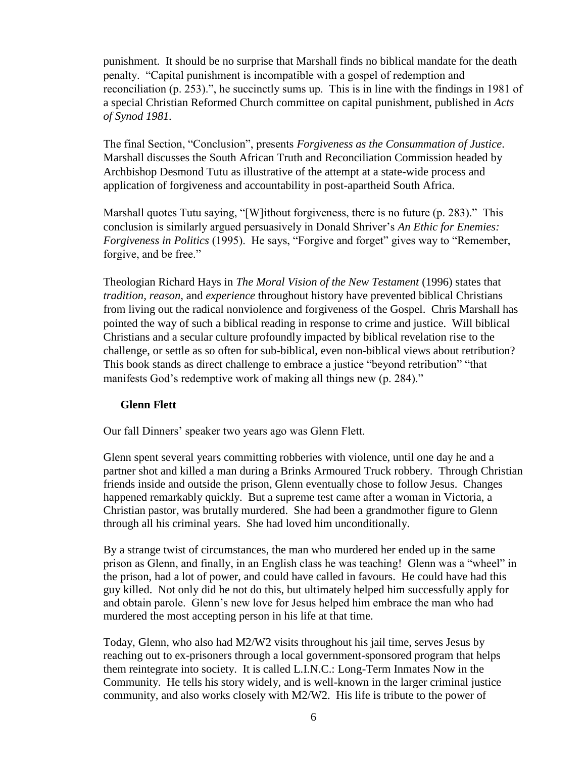punishment. It should be no surprise that Marshall finds no biblical mandate for the death penalty. "Capital punishment is incompatible with a gospel of redemption and reconciliation (p. 253).", he succinctly sums up. This is in line with the findings in 1981 of a special Christian Reformed Church committee on capital punishment, published in *Acts of Synod 1981.*

The final Section, "Conclusion", presents *Forgiveness as the Consummation of Justice*. Marshall discusses the South African Truth and Reconciliation Commission headed by Archbishop Desmond Tutu as illustrative of the attempt at a state-wide process and application of forgiveness and accountability in post-apartheid South Africa.

Marshall quotes Tutu saying, "[W]ithout forgiveness, there is no future (p. 283)." This conclusion is similarly argued persuasively in Donald Shriver's *An Ethic for Enemies: Forgiveness in Politics* (1995). He says, "Forgive and forget" gives way to "Remember, forgive, and be free."

Theologian Richard Hays in *The Moral Vision of the New Testament* (1996) states that *tradition, reason,* and *experience* throughout history have prevented biblical Christians from living out the radical nonviolence and forgiveness of the Gospel. Chris Marshall has pointed the way of such a biblical reading in response to crime and justice. Will biblical Christians and a secular culture profoundly impacted by biblical revelation rise to the challenge, or settle as so often for sub-biblical, even non-biblical views about retribution? This book stands as direct challenge to embrace a justice "beyond retribution" "that manifests God's redemptive work of making all things new (p. 284)."

## **Glenn Flett**

Our fall Dinners' speaker two years ago was Glenn Flett.

Glenn spent several years committing robberies with violence, until one day he and a partner shot and killed a man during a Brinks Armoured Truck robbery. Through Christian friends inside and outside the prison, Glenn eventually chose to follow Jesus. Changes happened remarkably quickly. But a supreme test came after a woman in Victoria, a Christian pastor, was brutally murdered. She had been a grandmother figure to Glenn through all his criminal years. She had loved him unconditionally.

By a strange twist of circumstances, the man who murdered her ended up in the same prison as Glenn, and finally, in an English class he was teaching! Glenn was a "wheel" in the prison, had a lot of power, and could have called in favours. He could have had this guy killed. Not only did he not do this, but ultimately helped him successfully apply for and obtain parole. Glenn's new love for Jesus helped him embrace the man who had murdered the most accepting person in his life at that time.

Today, Glenn, who also had M2/W2 visits throughout his jail time, serves Jesus by reaching out to ex-prisoners through a local government-sponsored program that helps them reintegrate into society. It is called L.I.N.C.: Long-Term Inmates Now in the Community. He tells his story widely, and is well-known in the larger criminal justice community, and also works closely with M2/W2. His life is tribute to the power of